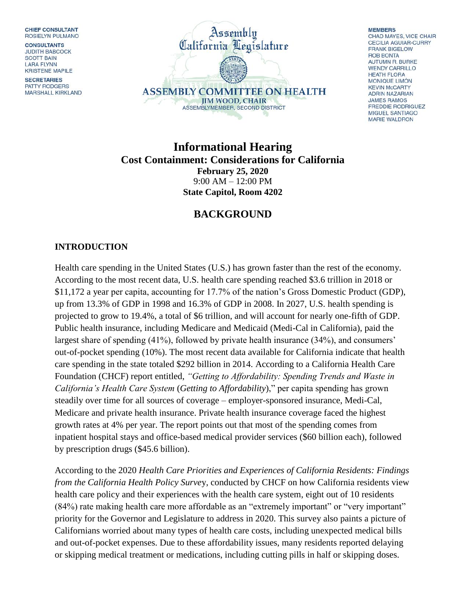CHIEF CONSULTANT ROSIELYN PULMANO

**CONSULTANTS JUDITH BABCOCK SCOTT BAIN LARA FLYNN** KRISTENE MAPILE

**SECRETARIES** PATTY RODGERS MARSHALL KIRKLAND



**MEMBERS** CHAD MAYES, VICE CHAIR **CECILIA AGUIAR-CURRY FRANK BIGELOW ROB BONTA** AUTUMN R. BURKE **WENDY CARRILLO HEATH FLORA** MONIQUE LIMÓN **KEVIN McCARTY ADRIN NAZARIAN JAMES RAMOS FREDDIE RODRIGUEZ** MIGUEL SANTIAGO **MARIE WALDRON** 

**Informational Hearing Cost Containment: Considerations for California February 25, 2020** 9:00 AM – 12:00 PM **State Capitol, Room 4202**

## **BACKGROUND**

## **INTRODUCTION**

Health care spending in the United States (U.S.) has grown faster than the rest of the economy. According to the most recent data, U.S. health care spending reached \$3.6 trillion in 2018 or \$11,172 a year per capita, accounting for 17.7% of the nation's Gross Domestic Product (GDP), up from 13.3% of GDP in 1998 and 16.3% of GDP in 2008. In 2027, U.S. health spending is projected to grow to 19.4%, a total of \$6 trillion, and will account for nearly one-fifth of GDP. Public health insurance, including Medicare and Medicaid (Medi-Cal in California), paid the largest share of spending (41%), followed by private health insurance (34%), and consumers' out-of-pocket spending (10%). The most recent data available for California indicate that health care spending in the state totaled \$292 billion in 2014. According to a California Health Care Foundation (CHCF) report entitled, *"Getting to Affordability: Spending Trends and Waste in California's Health Care System* (*Getting to Affordability*)," per capita spending has grown steadily over time for all sources of coverage – employer-sponsored insurance, Medi-Cal, Medicare and private health insurance. Private health insurance coverage faced the highest growth rates at 4% per year. The report points out that most of the spending comes from inpatient hospital stays and office-based medical provider services (\$60 billion each), followed by prescription drugs (\$45.6 billion).

According to the 2020 *Health Care Priorities and Experiences of California Residents: Findings from the California Health Policy Surve*y, conducted by CHCF on how California residents view health care policy and their experiences with the health care system, eight out of 10 residents (84%) rate making health care more affordable as an "extremely important" or "very important" priority for the Governor and Legislature to address in 2020. This survey also paints a picture of Californians worried about many types of health care costs, including unexpected medical bills and out-of-pocket expenses. Due to these affordability issues, many residents reported delaying or skipping medical treatment or medications, including cutting pills in half or skipping doses.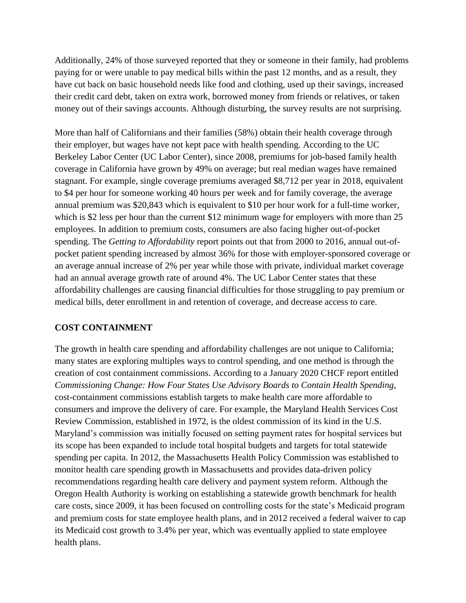Additionally, 24% of those surveyed reported that they or someone in their family, had problems paying for or were unable to pay medical bills within the past 12 months, and as a result, they have cut back on basic household needs like food and clothing, used up their savings, increased their credit card debt, taken on extra work, borrowed money from friends or relatives, or taken money out of their savings accounts. Although disturbing, the survey results are not surprising.

More than half of Californians and their families (58%) obtain their health coverage through their employer, but wages have not kept pace with health spending. According to the UC Berkeley Labor Center (UC Labor Center), since 2008, premiums for job-based family health coverage in California have grown by 49% on average; but real median wages have remained stagnant. For example, single coverage premiums averaged [\\$8,712](https://www.chcf.org/wp-content/uploads/2019/08/EmployerHealthBenefits2018QRG.pdf) per year in 2018, equivalent to \$4 per hour for someone working 40 hours per week and for family coverage, the average annual premium was [\\$20,843](https://www.chcf.org/wp-content/uploads/2019/08/EmployerHealthBenefits2018QRG.pdf) which is equivalent to \$10 per hour work for a full-time worker, which is \$2 less per hour than the current \$12 minimum wage for employers with more than 25 employees. In addition to premium costs, consumers are also facing higher out-of-pocket spending. The *Getting to Affordability* report points out that from 2000 to 2016, annual out-ofpocket patient spending increased by almost 36% for those with employer-sponsored coverage or an average annual increase of 2% per year while those with private, individual market coverage had an annual average growth rate of around 4%. The UC Labor Center states that these affordability challenges are causing financial difficulties for those struggling to pay premium or medical bills, deter enrollment in and retention of coverage, and decrease access to care.

## **COST CONTAINMENT**

The growth in health care spending and affordability challenges are not unique to California; many states are exploring multiples ways to control spending, and one method is through the creation of cost containment commissions. According to a January 2020 CHCF report entitled *Commissioning Change: How Four States Use Advisory Boards to Contain Health Spending*, cost-containment commissions establish targets to make health care more affordable to consumers and improve the delivery of care. For example, the Maryland Health Services Cost Review Commission, established in 1972, is the oldest commission of its kind in the U.S. Maryland's commission was initially focused on setting payment rates for hospital services but its scope has been expanded to include total hospital budgets and targets for total statewide spending per capita. In 2012, the Massachusetts Health Policy Commission was established to monitor health care spending growth in Massachusetts and provides data-driven policy recommendations regarding health care delivery and payment system reform. Although the Oregon Health Authority is working on establishing a statewide growth benchmark for health care costs, since 2009, it has been focused on controlling costs for the state's Medicaid program and premium costs for state employee health plans, and in 2012 received a federal waiver to cap its Medicaid cost growth to 3.4% per year, which was eventually applied to state employee health plans.